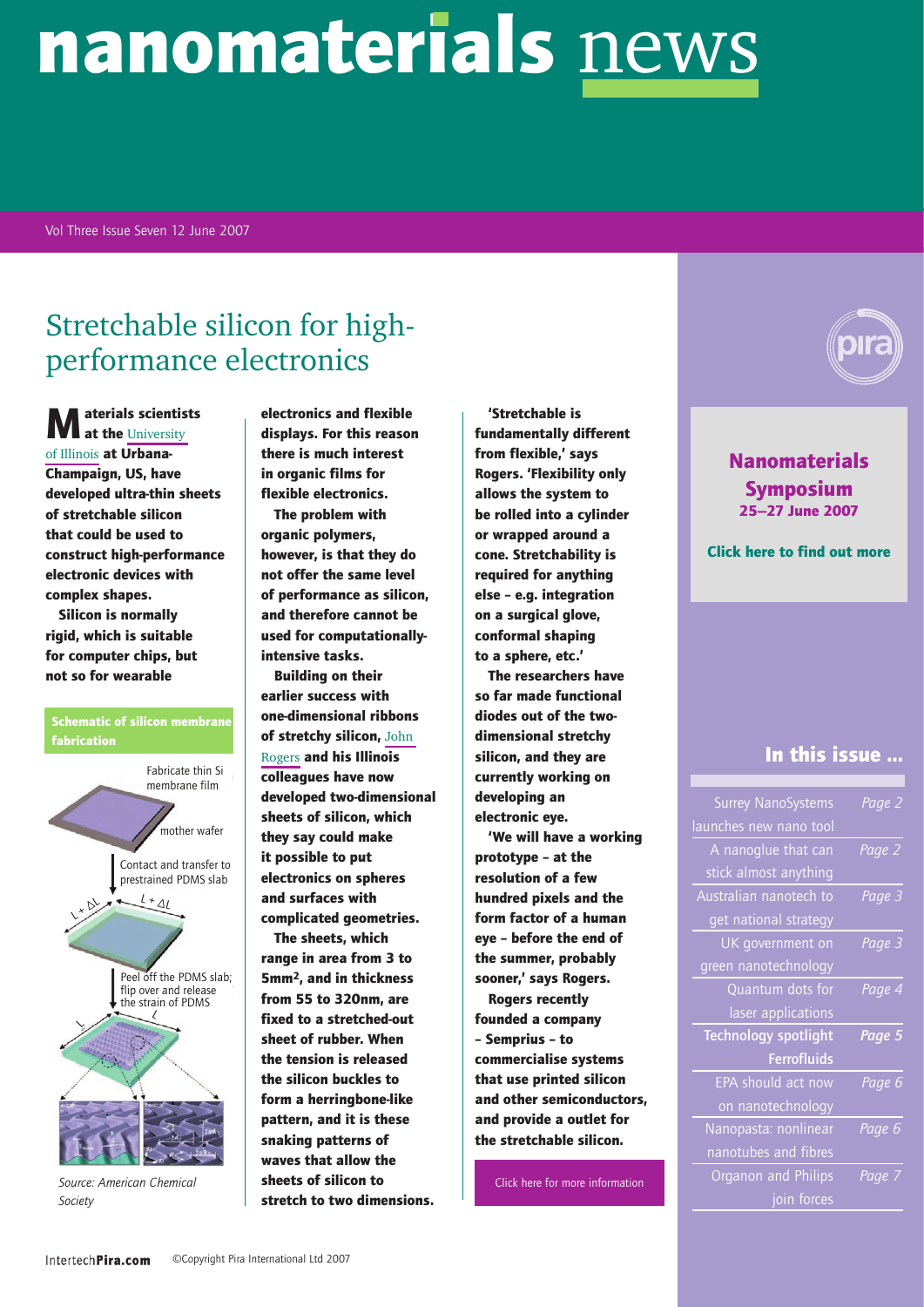#### Vol Three Issue Seven 12 June 2007

# Stretchable silicon for highperformance electronics

**M** at the University [of Illinois](http://www.mse.uiuc.edu/) at Urbana-Champaign, US, have

developed ultra-thin sheets of stretchable silicon that could be used to construct high-performance electronic devices with complex shapes.

Silicon is normally rigid, which is suitable for computer chips, but not so for wearable



*Source: American Chemical Society* 

electronics and flexible displays. For this reason there is much interest in organic films for flexible electronics.

The problem with organic polymers, however, is that they do not offer the same level of performance as silicon, and therefore cannot be used for computationallyintensive tasks.

Building on their earlier success with one-dimensional ribbons of stretchy silicon, [John](http://www.mse.uiuc.edu/faculty/Rogers.html)  [Rogers](http://www.mse.uiuc.edu/faculty/Rogers.html) and his Illinois colleagues have now developed two-dimensional sheets of silicon, which they say could make it possible to put electronics on spheres and surfaces with complicated geometries.

The sheets, which range in area from 3 to 5mm2, and in thickness from 55 to 320nm, are fixed to a stretched-out sheet of rubber. When the tension is released the silicon buckles to form a herringbone-like pattern, and it is these snaking patterns of waves that allow the sheets of silicon to stretch to two dimensions.

'Stretchable is fundamentally different from flexible,' says Rogers. 'Flexibility only allows the system to be rolled into a cylinder or wrapped around a cone. Stretchability is required for anything else – e.g. integration on a surgical glove, conformal shaping to a sphere, etc.'

The researchers have so far made functional diodes out of the twodimensional stretchy silicon, and they are currently working on developing an electronic eye.

'We will have a working prototype – at the resolution of a few hundred pixels and the form factor of a human eye – before the end of the summer, probably sooner,' says Rogers.

Rogers recently founded a company – Semprius – to commercialise systems that use printed silicon and other semiconductors, and provide a outlet for the stretchable silicon.

[Click here for more information](http://pubs.acs.org/cgi-bin/abstract.cgi/nalefd/asap/abs/nl0706244.html)

[Nanomaterials](http://www.intertechpira.com/events.asp?step=2&eventID=44FFF011687D14AA1E451687D14C0A6161687D1|2FF1F8|196A27)  [Symposium](http://www.intertechpira.com/events.asp?step=2&eventID=44FFF011687D14AA1E451687D14C0A6161687D1|2FF1F8|196A27) [25—27 June 2007](http://www.intertechpira.com/events.asp?step=2&eventID=44FFF011687D14AA1E451687D14C0A6161687D1|2FF1F8|196A27)

[Click here to find out more](http://www.intertechpira.com/events.asp?step=2&eventID=44FFF011687D14AA1E451687D14C0A6161687D1|2FF1F8|196A27)

#### In this issue ...

| Page 2 | <b>Surrey NanoSystems</b> |
|--------|---------------------------|
|        | launches new nano tool    |
| Page 2 | A nanoglue that can       |
|        | stick almost anything     |
| Page 3 | Australian nanotech to    |
|        | get national strategy     |
| Page 3 | UK government on          |
|        | green nanotechnology      |
| Page 4 | Quantum dots for          |
|        | laser applications        |
| Page 5 | Technology spotlight      |
|        | <b>Ferrofluids</b>        |
| Page 6 | EPA should act now        |
|        | on nanotechnology         |
| Page 6 | Nanopasta: nonlinear      |
|        | nanotubes and fibres      |
| Page 7 | Organon and Philips       |
|        | join forces               |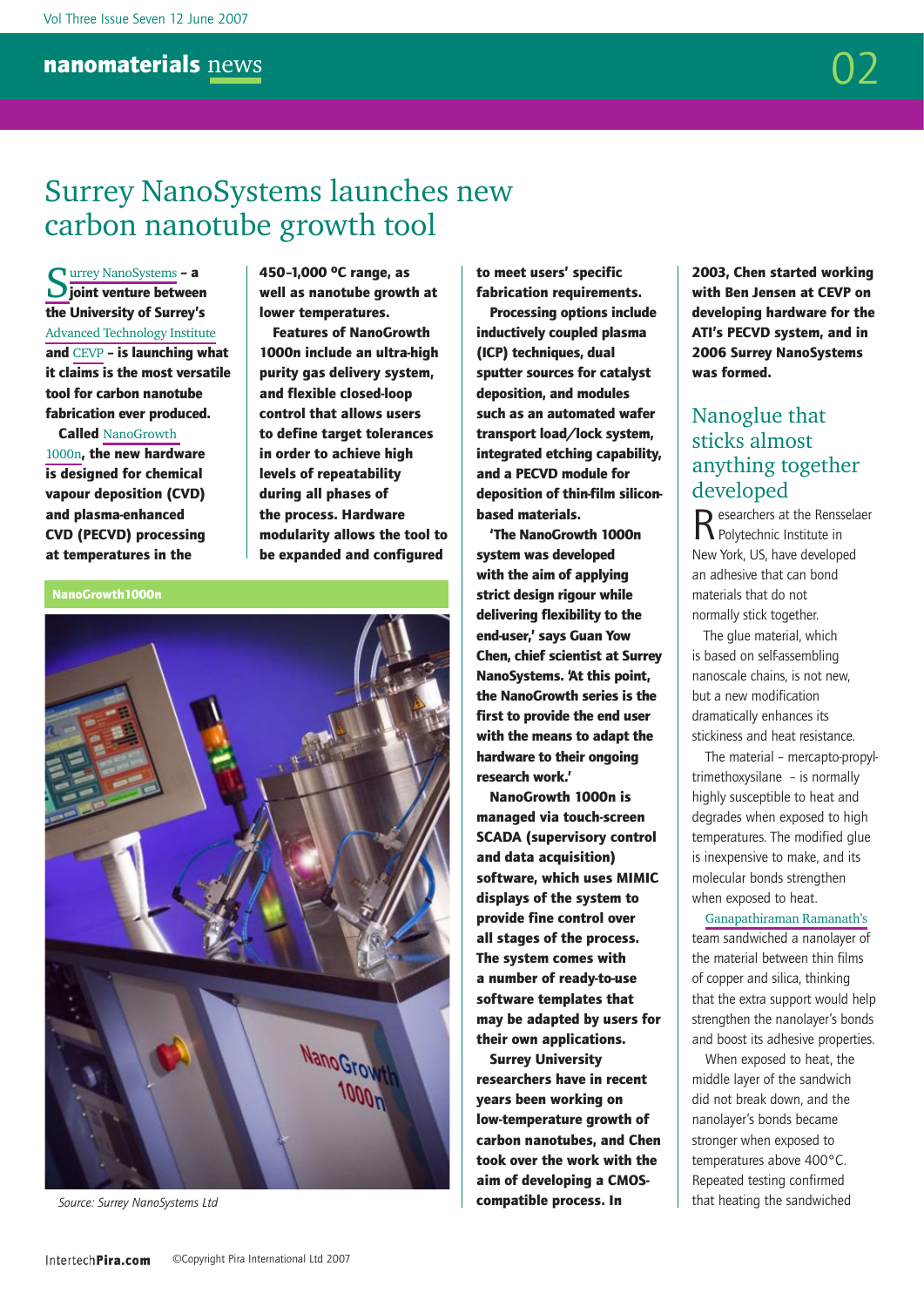

# <span id="page-1-0"></span>Surrey NanoSystems launches new carbon nanotube growth tool

[Surrey NanoSystems](http://www.surreynanosystems.com/) – a  $\bigcup$  joint venture between the University of Surrey's [Advanced Technology Institute](http://www.ati.surrey.ac.uk/) and [CEVP](http://www.cevp.co.uk) – is launching what it claims is the most versatile tool for carbon nanotube fabrication ever produced.

Called [NanoGrowth](http://www.surreynanosystems.com/nanogrowth.htm)  [1000n](http://www.surreynanosystems.com/nanogrowth.htm), the new hardware is designed for chemical vapour deposition (CVD) and plasma-enhanced CVD (PECVD) processing at temperatures in the

450–1,000 oC range, as well as nanotube growth at lower temperatures.

Features of NanoGrowth 1000n include an ultra-high purity gas delivery system, and flexible closed-loop control that allows users to define target tolerances in order to achieve high levels of repeatability during all phases of the process. Hardware modularity allows the tool to be expanded and configured

NanoGrowth1000n



*Source: Surrey NanoSystems Ltd*

to meet users' specific fabrication requirements.

Processing options include inductively coupled plasma (ICP) techniques, dual sputter sources for catalyst deposition, and modules such as an automated wafer transport load/lock system, integrated etching capability, and a PECVD module for deposition of thin-film siliconbased materials.

'The NanoGrowth 1000n system was developed with the aim of applying strict design rigour while delivering flexibility to the end-user,' says Guan Yow Chen, chief scientist at Surrey NanoSystems. 'At this point, the NanoGrowth series is the first to provide the end user with the means to adapt the hardware to their ongoing research work.'

NanoGrowth 1000n is managed via touch-screen SCADA (supervisory control and data acquisition) software, which uses MIMIC displays of the system to provide fine control over all stages of the process. The system comes with a number of ready-to-use software templates that may be adapted by users for their own applications.

Surrey University researchers have in recent years been working on low-temperature growth of carbon nanotubes, and Chen took over the work with the aim of developing a CMOScompatible process. In

2003, Chen started working with Ben Jensen at CEVP on developing hardware for the ATI's PECVD system, and in 2006 Surrey NanoSystems was formed.

#### <span id="page-1-1"></span>Nanoglue that sticks almost anything together developed

Researchers at the Rensselaer<br>Relytechnic Institute in New York, US, have developed an adhesive that can bond materials that do not normally stick together.

 The glue material, which is based on self-assembling nanoscale chains, is not new, but a new modification dramatically enhances its stickiness and heat resistance.

The material – mercapto-propyltrimethoxysilane – is normally highly susceptible to heat and degrades when exposed to high temperatures. The modified glue is inexpensive to make, and its molecular bonds strengthen when exposed to heat.

[Ganapathiraman Ramanath's](http://www.rpi.edu/dept/materials/GR/) team sandwiched a nanolayer of the material between thin films of copper and silica, thinking that the extra support would help strengthen the nanolayer's bonds and boost its adhesive properties.

When exposed to heat, the middle layer of the sandwich did not break down, and the nanolayer's bonds became stronger when exposed to temperatures above 400°C. Repeated testing confirmed that heating the sandwiched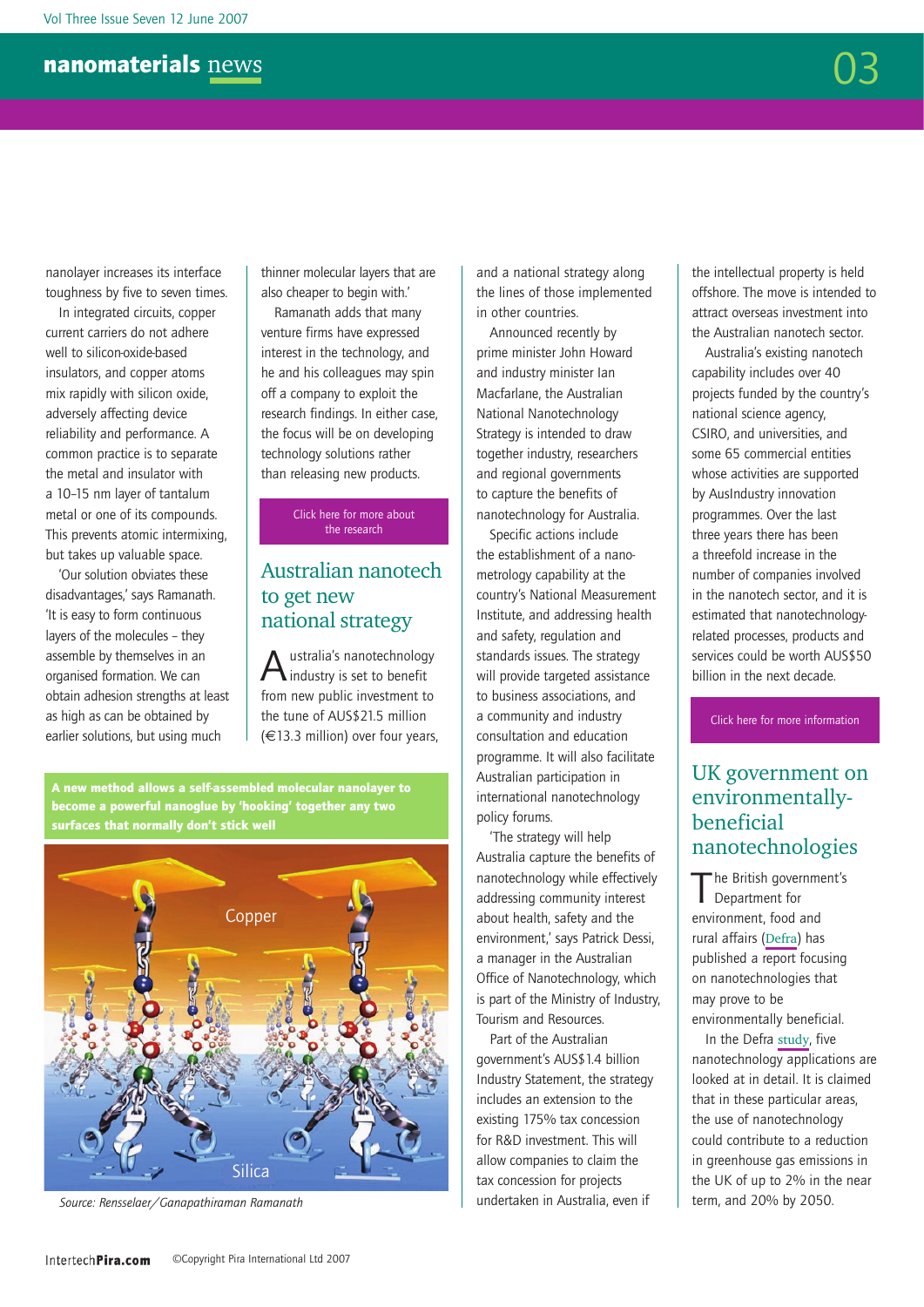nanolayer increases its interface toughness by five to seven times.

In integrated circuits, copper current carriers do not adhere well to silicon-oxide-based insulators, and copper atoms mix rapidly with silicon oxide, adversely affecting device reliability and performance. A common practice is to separate the metal and insulator with a 10–15 nm layer of tantalum metal or one of its compounds. This prevents atomic intermixing, but takes up valuable space.

'Our solution obviates these disadvantages,' says Ramanath. 'It is easy to form continuous layers of the molecules – they assemble by themselves in an organised formation. We can obtain adhesion strengths at least as high as can be obtained by earlier solutions, but using much

thinner molecular layers that are also cheaper to begin with.'

Ramanath adds that many venture firms have expressed interest in the technology, and he and his colleagues may spin off a company to exploit the research findings. In either case, the focus will be on developing technology solutions rather than releasing new products.

> [Click here for more about](http://www.nature.com/nature/journal/v447/n7142/abs/nature05826.html) [the research](http://www.nature.com/nature/journal/v447/n7142/abs/nature05826.html)

#### <span id="page-2-0"></span>Australian nanotech to get new national strategy

ustralia's nanotechnology industry is set to benefit from new public investment to the tune of AUS\$21.5 million (€13.3 million) over four years,

A new method allows a self-assembled molecular nanolayer to become a powerful nanoglue by 'hooking' together any two surfaces that normally don't stick well



*Source: Rensselaer/Ganapathiraman Ramanath*

and a national strategy along the lines of those implemented in other countries.

Announced recently by prime minister John Howard and industry minister Ian Macfarlane, the Australian National Nanotechnology Strategy is intended to draw together industry, researchers and regional governments to capture the benefits of nanotechnology for Australia.

Specific actions include the establishment of a nanometrology capability at the country's National Measurement Institute, and addressing health and safety, regulation and standards issues. The strategy will provide targeted assistance to business associations, and a community and industry consultation and education programme. It will also facilitate Australian participation in international nanotechnology policy forums.

'The strategy will help Australia capture the benefits of nanotechnology while effectively addressing community interest about health, safety and the environment,' says Patrick Dessi, a manager in the Australian Office of Nanotechnology, which is part of the Ministry of Industry, Tourism and Resources.

Part of the Australian government's AUS\$1.4 billion Industry Statement, the strategy includes an extension to the existing 175% tax concession for R&D investment. This will allow companies to claim the tax concession for projects undertaken in Australia, even if

the intellectual property is held offshore. The move is intended to attract overseas investment into the Australian nanotech sector.

Australia's existing nanotech capability includes over 40 projects funded by the country's national science agency, CSIRO, and universities, and some 65 commercial entities whose activities are supported by AusIndustry innovation programmes. Over the last three years there has been a threefold increase in the number of companies involved in the nanotech sector, and it is estimated that nanotechnologyrelated processes, products and services could be worth AUS\$50 billion in the next decade.

[Click here for more information](http://www.industry.gov.au/content/itrinternet/cmscontent.cfm?objectID=E2FE4F8A-4E44-4785-A6A01BE137E0E524&CFID=8362285&CFTOKEN=12327309)

#### <span id="page-2-1"></span>UK government on environmentallybeneficial nanotechnologies

The British government's<br>
Department for environment, food and rural affairs ([Defra](http://www.defra.gov.uk/environment/nanotech/)) has published a report focusing on nanotechnologies that may prove to be environmentally beneficial.

In the Defra [study](http://www.defra.gov.uk/environment/nanotech/policy/pdf/envbeneficial-report.pdf), five nanotechnology applications are looked at in detail. It is claimed that in these particular areas, the use of nanotechnology could contribute to a reduction in greenhouse gas emissions in the UK of up to 2% in the near term, and 20% by 2050.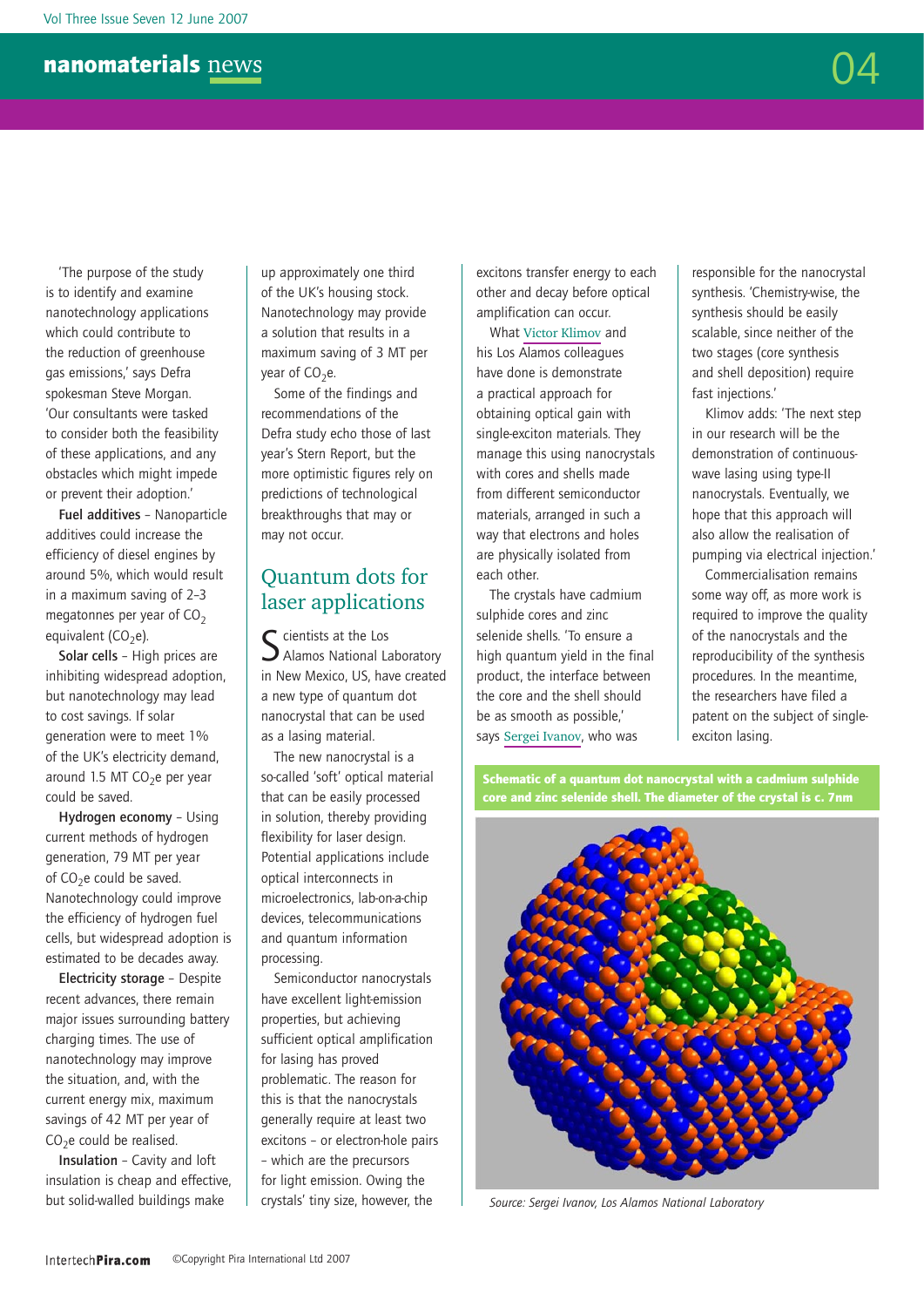'The purpose of the study is to identify and examine nanotechnology applications which could contribute to the reduction of greenhouse gas emissions,' says Defra spokesman Steve Morgan. 'Our consultants were tasked to consider both the feasibility of these applications, and any obstacles which might impede or prevent their adoption.'

Fuel additives – Nanoparticle additives could increase the efficiency of diesel engines by around 5%, which would result in a maximum saving of 2–3 megatonnes per year of  $CO<sub>2</sub>$ equivalent ( $CO<sub>2</sub>e$ ).

Solar cells – High prices are inhibiting widespread adoption, but nanotechnology may lead to cost savings. If solar generation were to meet 1% of the UK's electricity demand, around 1.5 MT CO<sub>2</sub>e per year could be saved.

Hydrogen economy – Using current methods of hydrogen generation, 79 MT per year of  $CO<sub>2</sub>e$  could be saved. Nanotechnology could improve the efficiency of hydrogen fuel cells, but widespread adoption is estimated to be decades away.

Electricity storage – Despite recent advances, there remain major issues surrounding battery charging times. The use of nanotechnology may improve the situation, and, with the current energy mix, maximum savings of 42 MT per year of  $CO<sub>2</sub>e$  could be realised.

Insulation – Cavity and loft insulation is cheap and effective, but solid-walled buildings make

up approximately one third of the UK's housing stock. Nanotechnology may provide a solution that results in a maximum saving of 3 MT per year of  $CO<sub>2</sub>e$ .

Some of the findings and recommendations of the Defra study echo those of last year's Stern Report, but the more optimistic figures rely on predictions of technological breakthroughs that may or may not occur.

#### <span id="page-3-0"></span>Quantum dots for laser applications

S cientists at the Los<br>
S Alamos National Laboratory in New Mexico, US, have created a new type of quantum dot nanocrystal that can be used as a lasing material.

The new nanocrystal is a so-called 'soft' optical material that can be easily processed in solution, thereby providing flexibility for laser design. Potential applications include optical interconnects in microelectronics, lab-on-a-chip devices, telecommunications and quantum information processing.

Semiconductor nanocrystals have excellent light-emission properties, but achieving sufficient optical amplification for lasing has proved problematic. The reason for this is that the nanocrystals generally require at least two excitons – or electron-hole pairs – which are the precursors for light emission. Owing the crystals' tiny size, however, the

excitons transfer energy to each other and decay before optical amplification can occur.

What [Victor Klimov](http://quantumdot.lanl.gov/pages/Staff/Victor.html) and his Los Alamos colleagues have done is demonstrate a practical approach for obtaining optical gain with single-exciton materials. They manage this using nanocrystals with cores and shells made from different semiconductor materials, arranged in such a way that electrons and holes are physically isolated from each other.

The crystals have cadmium sulphide cores and zinc selenide shells. 'To ensure a high quantum yield in the final product, the interface between the core and the shell should be as smooth as possible,' says Sergei Ivanov, who was

responsible for the nanocrystal synthesis. 'Chemistry-wise, the synthesis should be easily scalable, since neither of the two stages (core synthesis and shell deposition) require fast injections.'

Klimov adds: 'The next step in our research will be the demonstration of continuouswave lasing using type-II nanocrystals. Eventually, we hope that this approach will also allow the realisation of pumping via electrical injection.'

Commercialisation remains some way off, as more work is required to improve the quality of the nanocrystals and the reproducibility of the synthesis procedures. In the meantime, the researchers have filed a patent on the subject of singleexciton lasing.



Schematic of a quantum dot nanocrystal with a cadmium sulphide

*Source: Sergei Ivanov, Los Alamos National Laboratory*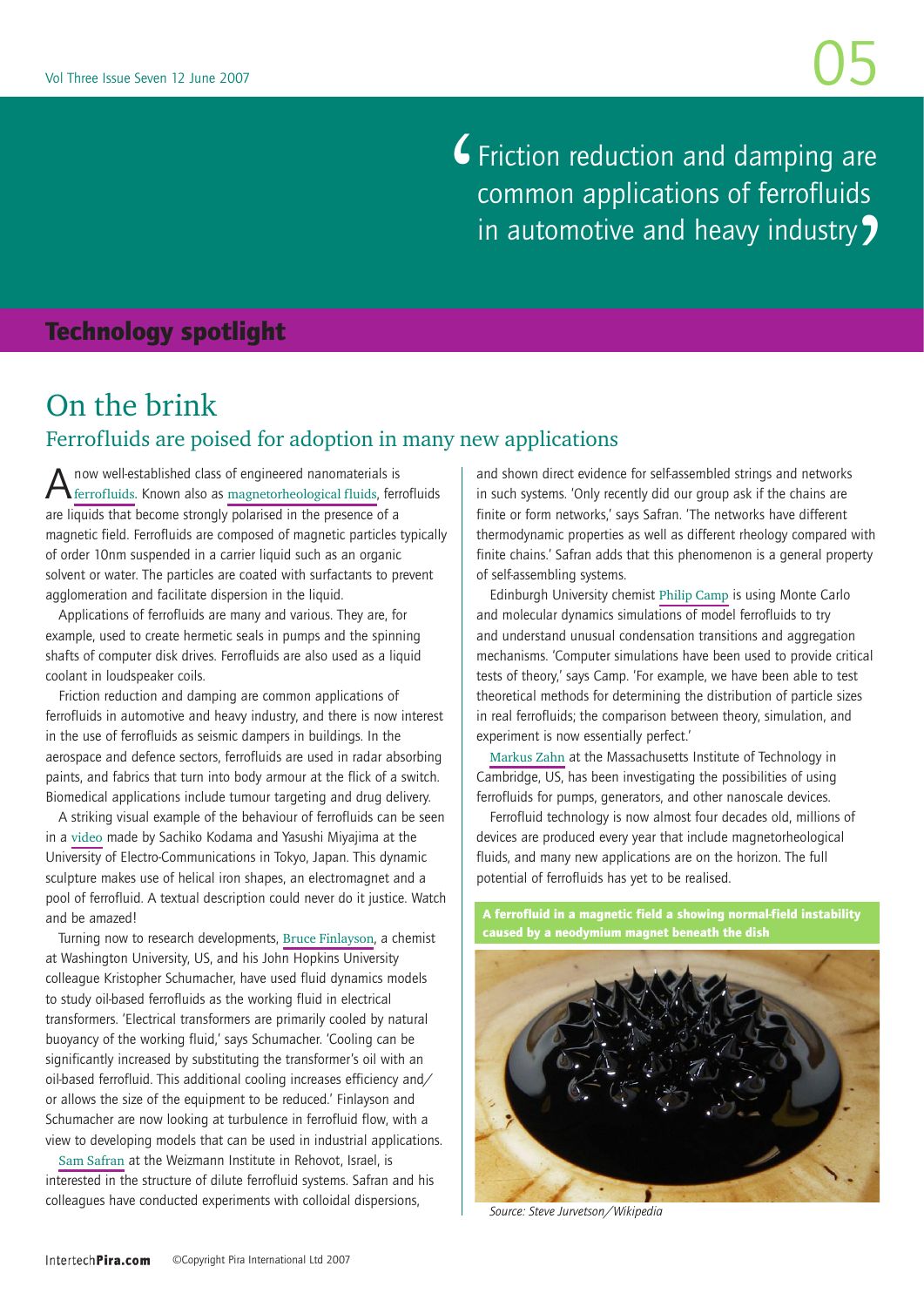Friction reduction and damping are common applications of ferrofluids in automotive and heavy industry?  $\bigg)$ 

#### <span id="page-4-0"></span>Technology spotlight

### On the brink Ferrofluids are poised for adoption in many new applications

 $A$ now well-established class of engineered nanomaterials is  $f_{\text{ferrofluids}}$ . Known also as  $_{\text{magnetorheological fluids}}$ , ferrofluids are liquids that become strongly polarised in the presence of a magnetic field. Ferrofluids are composed of magnetic particles typically of order 10nm suspended in a carrier liquid such as an organic solvent or water. The particles are coated with surfactants to prevent agglomeration and facilitate dispersion in the liquid.

Applications of ferrofluids are many and various. They are, for example, used to create hermetic seals in pumps and the spinning shafts of computer disk drives. Ferrofluids are also used as a liquid coolant in loudspeaker coils.

Friction reduction and damping are common applications of ferrofluids in automotive and heavy industry, and there is now interest in the use of ferrofluids as seismic dampers in buildings. In the aerospace and defence sectors, ferrofluids are used in radar absorbing paints, and fabrics that turn into body armour at the flick of a switch. Biomedical applications include tumour targeting and drug delivery.

A striking visual example of the behaviour of ferrofluids can be seen in a [video](http://www.kodama.hc.uec.ac.jp/spiral/) made by Sachiko Kodama and Yasushi Miyajima at the University of Electro-Communications in Tokyo, Japan. This dynamic sculpture makes use of helical iron shapes, an electromagnet and a pool of ferrofluid. A textual description could never do it justice. Watch and be amazed!

Turning now to research developments, [Bruce Finlayson](http://faculty.washington.edu/finlayso/), a chemist at Washington University, US, and his John Hopkins University colleague Kristopher Schumacher, have used fluid dynamics models to study oil-based ferrofluids as the working fluid in electrical transformers. 'Electrical transformers are primarily cooled by natural buoyancy of the working fluid,' says Schumacher. 'Cooling can be significantly increased by substituting the transformer's oil with an oil-based ferrofluid. This additional cooling increases efficiency and/ or allows the size of the equipment to be reduced.' Finlayson and Schumacher are now looking at turbulence in ferrofluid flow, with a view to developing models that can be used in industrial applications.

[Sam Safran](http://www.weizmann.ac.il/fluids/SafranGroup/) at the Weizmann Institute in Rehovot, Israel, is interested in the structure of dilute ferrofluid systems. Safran and his colleagues have conducted experiments with colloidal dispersions,

and shown direct evidence for self-assembled strings and networks in such systems. 'Only recently did our group ask if the chains are finite or form networks,' says Safran. 'The networks have different thermodynamic properties as well as different rheology compared with finite chains.' Safran adds that this phenomenon is a general property of self-assembling systems.

Edinburgh University chemist [Philip Camp](http://homepages.ed.ac.uk/pjc01/) is using Monte Carlo and molecular dynamics simulations of model ferrofluids to try and understand unusual condensation transitions and aggregation mechanisms. 'Computer simulations have been used to provide critical tests of theory,' says Camp. 'For example, we have been able to test theoretical methods for determining the distribution of particle sizes in real ferrofluids; the comparison between theory, simulation, and experiment is now essentially perfect.'

[Markus Zahn](http://lees-web.mit.edu/lees/zahn_m.htm) at the Massachusetts Institute of Technology in Cambridge, US, has been investigating the possibilities of using ferrofluids for pumps, generators, and other nanoscale devices.

Ferrofluid technology is now almost four decades old, millions of devices are produced every year that include magnetorheological fluids, and many new applications are on the horizon. The full potential of ferrofluids has yet to be realised.

A ferrofluid in a magnetic field a showing normal-field instability



*Source: Steve Jurvetson/Wikipedia*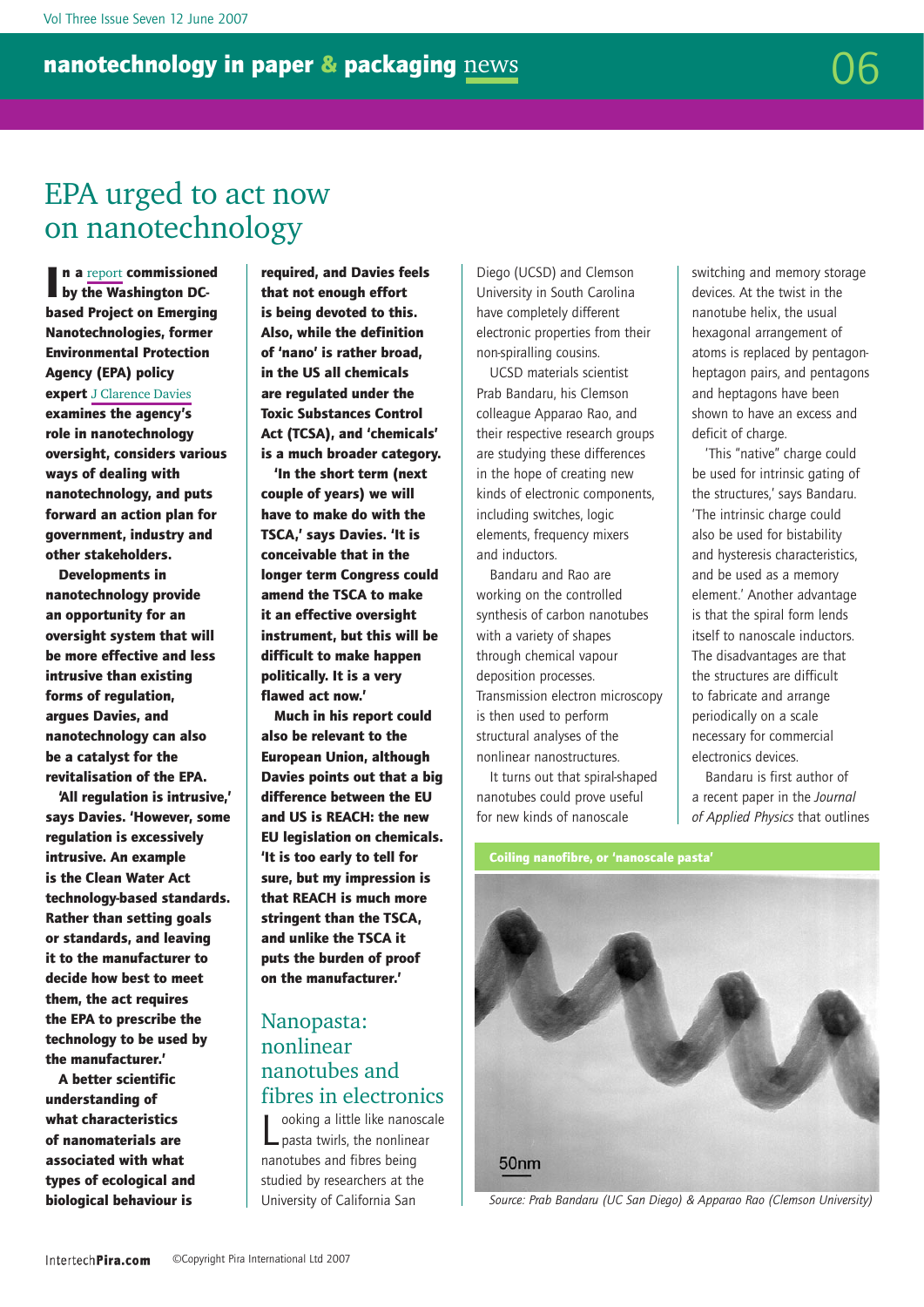## <span id="page-5-0"></span>EPA urged to act now on nanotechnology

I n a [report](http://www.nanotechproject.org/file_download/197) commissioned by the Washington DCbased Project on Emerging Nanotechnologies, former Environmental Protection Agency (EPA) policy expert [J Clarence Davies](http://www.nanotechproject.org/10) examines the agency's role in nanotechnology oversight, considers various ways of dealing with nanotechnology, and puts

forward an action plan for government, industry and other stakeholders.

Developments in nanotechnology provide an opportunity for an oversight system that will be more effective and less intrusive than existing forms of regulation, argues Davies, and nanotechnology can also be a catalyst for the revitalisation of the EPA.

'All regulation is intrusive,' says Davies. 'However, some regulation is excessively intrusive. An example is the Clean Water Act technology-based standards. Rather than setting goals or standards, and leaving it to the manufacturer to decide how best to meet them, the act requires the EPA to prescribe the technology to be used by the manufacturer.'

A better scientific understanding of what characteristics of nanomaterials are associated with what types of ecological and biological behaviour is

required, and Davies feels that not enough effort is being devoted to this. Also, while the definition of 'nano' is rather broad, in the US all chemicals are regulated under the Toxic Substances Control Act (TCSA), and 'chemicals' is a much broader category.

'In the short term (next couple of years) we will have to make do with the TSCA,' says Davies. 'It is conceivable that in the longer term Congress could amend the TSCA to make it an effective oversight instrument, but this will be difficult to make happen politically. It is a very flawed act now.'

Much in his report could also be relevant to the European Union, although Davies points out that a big difference between the EU and US is REACH: the new EU legislation on chemicals. 'It is too early to tell for sure, but my impression is that REACH is much more stringent than the TSCA, and unlike the TSCA it puts the burden of proof on the manufacturer.'

#### <span id="page-5-1"></span>Nanopasta: nonlinear nanotubes and fibres in electronics

L ooking a little like nanoscale pasta twirls, the nonlinear nanotubes and fibres being studied by researchers at the University of California San

Diego (UCSD) and Clemson University in South Carolina have completely different electronic properties from their non-spiralling cousins.

UCSD materials scientist Prab Bandaru, his Clemson colleague Apparao Rao, and their respective research groups are studying these differences in the hope of creating new kinds of electronic components, including switches, logic elements, frequency mixers and inductors.

Bandaru and Rao are working on the controlled synthesis of carbon nanotubes with a variety of shapes through chemical vapour deposition processes. Transmission electron microscopy is then used to perform structural analyses of the nonlinear nanostructures.

It turns out that spiral-shaped nanotubes could prove useful for new kinds of nanoscale

switching and memory storage devices. At the twist in the nanotube helix, the usual hexagonal arrangement of atoms is replaced by pentagonheptagon pairs, and pentagons and heptagons have been shown to have an excess and deficit of charge.

'This "native" charge could be used for intrinsic gating of the structures,' says Bandaru. 'The intrinsic charge could also be used for bistability and hysteresis characteristics, and be used as a memory element.' Another advantage is that the spiral form lends itself to nanoscale inductors. The disadvantages are that the structures are difficult to fabricate and arrange periodically on a scale necessary for commercial electronics devices.

Bandaru is first author of a recent paper in the *Journal of Applied Physics* that outlines



*Source: Prab Bandaru (UC San Diego) & Apparao Rao (Clemson University)*